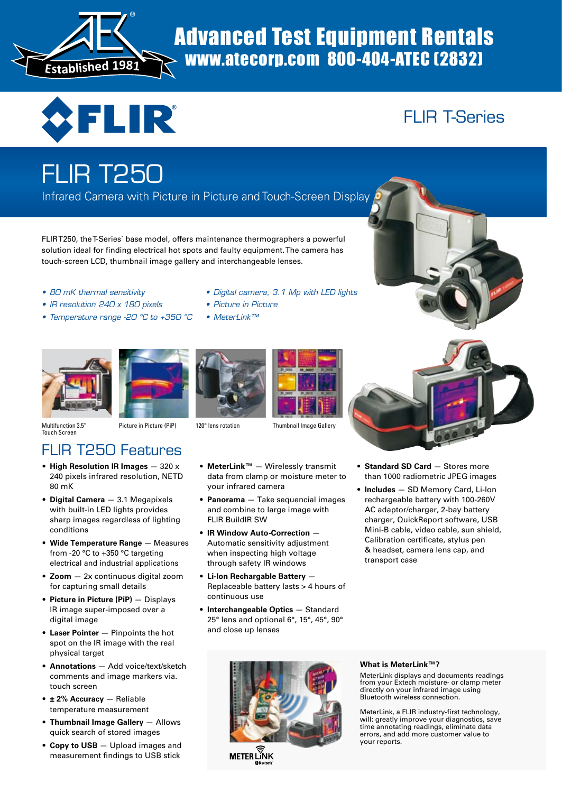

# www.atecorp.com 800-404-ATEC (2832)



# FLIR T-Series

# FLIR T250

Infrared Camera with Picture in Picture and Touch-Screen Display

FLIRT250, theT-Series´ base model, offers maintenance thermographers a powerful solution ideal for finding electrical hot spots and faulty equipment.The camera has touch-screen LCD, thumbnail image gallery and interchangeable lenses.

- *80 mK thermal sensitivity*
- *IR resolution 240 x 180 pixels*
- *Temperature range -20 °C to +350 °C*
- *Digital camera, 3.1 Mp with LED lights*
- *Picture in Picture*
- *MeterLink™*



Multifunction 3.5" Touch Screen







Picture in Picture (PiP) 120° lens rotation Thumbnail Image Gallery



- **High Resolution IR Images** 320 x 240 pixels infrared resolution, NETD 80 mK
- **Digital Camera** 3.1 Megapixels with built-in LED lights provides sharp images regardless of lighting conditions
- **Wide Temperature Range** Measures from -20 °C to +350 °C targeting electrical and industrial applications
- **Zoom** 2x continuous digital zoom for capturing small details
- **Picture in Picture (PiP)** Displays IR image super-imposed over a digital image
- **Laser Pointer** Pinpoints the hot spot on the IR image with the real physical target
- **Annotations** Add voice/text/sketch comments and image markers via. touch screen
- **± 2% Accuracy** Reliable temperature measurement
- **Thumbnail Image Gallery** Allows quick search of stored images
- **Copy to USB** Upload images and measurement findings to USB stick
- **MeterLink™** Wirelessly transmit data from clamp or moisture meter to your infrared camera
- **Panorama** Take sequencial images and combine to large image with FLIR BuildIR SW
- **IR Window Auto-Correction** Automatic sensitivity adjustment when inspecting high voltage through safety IR windows
- **Li-Ion Rechargable Battery** Replaceable battery lasts > 4 hours of continuous use
- **Interchangeable Optics** Standard 25° lens and optional 6°, 15°, 45°, 90° and close up lenses



- **Standard SD Card** Stores more than 1000 radiometric JPEG images
- **Includes** SD Memory Card, Li-Ion rechargeable battery with 100-260V AC adaptor/charger, 2-bay battery charger, QuickReport software, USB Mini-B cable, video cable, sun shield, Calibration certificate, stylus pen & headset, camera lens cap, and transport case



#### **What is MeterLink™?**

MeterLink displays and documents readings from your Extech moisture- or clamp meter directly on your infrared image using Bluetooth wireless connection. 

MeterLink, a FLIR industry-first technology, will: greatly improve your diagnostics, save time annotating readings, eliminate data errors, and add more customer value to<br>your reports.

METER LÎNK